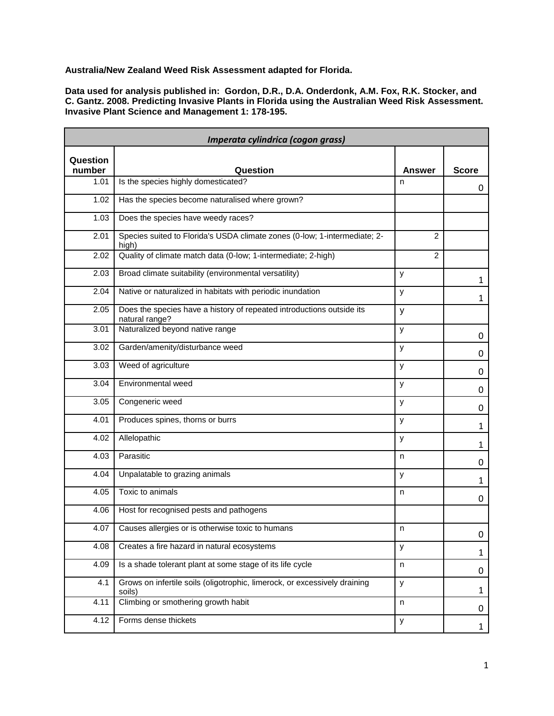**Australia/New Zealand Weed Risk Assessment adapted for Florida.**

**Data used for analysis published in: Gordon, D.R., D.A. Onderdonk, A.M. Fox, R.K. Stocker, and C. Gantz. 2008. Predicting Invasive Plants in Florida using the Australian Weed Risk Assessment. Invasive Plant Science and Management 1: 178-195.**

| Imperata cylindrica (cogon grass) |                                                                                         |        |              |
|-----------------------------------|-----------------------------------------------------------------------------------------|--------|--------------|
| Question<br>number                | Question                                                                                | Answer | <b>Score</b> |
| 1.01                              | Is the species highly domesticated?                                                     | n      | 0            |
| 1.02                              | Has the species become naturalised where grown?                                         |        |              |
| 1.03                              | Does the species have weedy races?                                                      |        |              |
| 2.01                              | Species suited to Florida's USDA climate zones (0-low; 1-intermediate; 2-<br>high)      | 2      |              |
| 2.02                              | Quality of climate match data (0-low; 1-intermediate; 2-high)                           | 2      |              |
| 2.03                              | Broad climate suitability (environmental versatility)                                   | у      | $\mathbf{1}$ |
| 2.04                              | Native or naturalized in habitats with periodic inundation                              | y      | $\mathbf{1}$ |
| 2.05                              | Does the species have a history of repeated introductions outside its<br>natural range? | У      |              |
| 3.01                              | Naturalized beyond native range                                                         | у      | 0            |
| 3.02                              | Garden/amenity/disturbance weed                                                         | У      | $\mathbf 0$  |
| 3.03                              | Weed of agriculture                                                                     | у      | 0            |
| 3.04                              | Environmental weed                                                                      | у      | $\mathbf 0$  |
| 3.05                              | Congeneric weed                                                                         | У      | 0            |
| 4.01                              | Produces spines, thorns or burrs                                                        | у      | $\mathbf{1}$ |
| 4.02                              | Allelopathic                                                                            | у      | 1            |
| 4.03                              | Parasitic                                                                               | n      | 0            |
| 4.04                              | Unpalatable to grazing animals                                                          | у      | $\mathbf{1}$ |
| 4.05                              | Toxic to animals                                                                        | n      | 0            |
| 4.06                              | Host for recognised pests and pathogens                                                 |        |              |
| 4.07                              | Causes allergies or is otherwise toxic to humans                                        | n      | 0            |
| 4.08                              | Creates a fire hazard in natural ecosystems                                             | у      | $\mathbf{1}$ |
| 4.09                              | Is a shade tolerant plant at some stage of its life cycle                               | n      | 0            |
| 4.1                               | Grows on infertile soils (oligotrophic, limerock, or excessively draining<br>soils)     | У      | $\mathbf{1}$ |
| 4.11                              | Climbing or smothering growth habit                                                     | n      | 0            |
| 4.12                              | Forms dense thickets                                                                    | У      | $\mathbf{1}$ |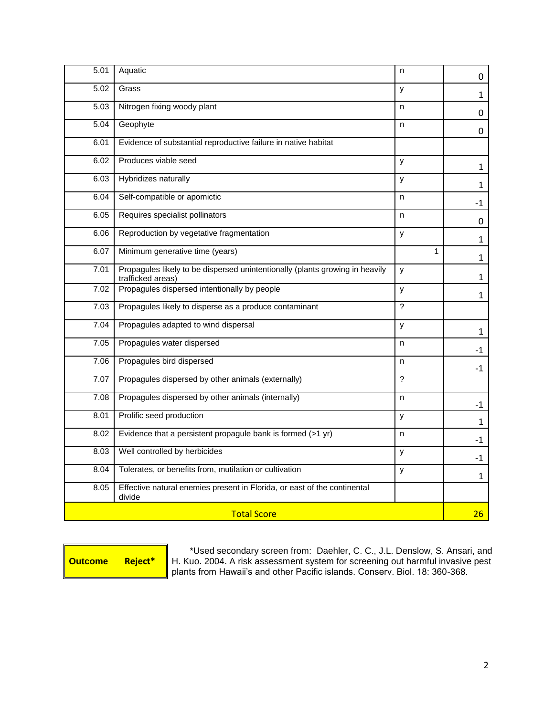| 5.01               | Aquatic                                                                                           | n              | 0            |
|--------------------|---------------------------------------------------------------------------------------------------|----------------|--------------|
| 5.02               | Grass                                                                                             | У              | $\mathbf{1}$ |
| 5.03               | Nitrogen fixing woody plant                                                                       | n              | 0            |
| 5.04               | Geophyte                                                                                          | n              | 0            |
| 6.01               | Evidence of substantial reproductive failure in native habitat                                    |                |              |
| 6.02               | Produces viable seed                                                                              | y              | 1            |
| 6.03               | Hybridizes naturally                                                                              | У              | 1            |
| 6.04               | Self-compatible or apomictic                                                                      | n              | $-1$         |
| 6.05               | Requires specialist pollinators                                                                   | n              | 0            |
| 6.06               | Reproduction by vegetative fragmentation                                                          | y              | 1            |
| 6.07               | Minimum generative time (years)                                                                   | $\mathbf{1}$   | $\mathbf{1}$ |
| 7.01               | Propagules likely to be dispersed unintentionally (plants growing in heavily<br>trafficked areas) | y              | 1            |
| 7.02               | Propagules dispersed intentionally by people                                                      | У              | $\mathbf{1}$ |
| 7.03               | Propagules likely to disperse as a produce contaminant                                            | $\mathcal{P}$  |              |
| 7.04               | Propagules adapted to wind dispersal                                                              | y              | $\mathbf{1}$ |
| 7.05               | Propagules water dispersed                                                                        | n              | -1           |
| 7.06               | Propagules bird dispersed                                                                         | n              | $-1$         |
| 7.07               | Propagules dispersed by other animals (externally)                                                | $\overline{?}$ |              |
| 7.08               | Propagules dispersed by other animals (internally)                                                | n              | $-1$         |
| 8.01               | Prolific seed production                                                                          | y              | $\mathbf{1}$ |
| 8.02               | Evidence that a persistent propagule bank is formed (>1 yr)                                       | n              | $-1$         |
| 8.03               | Well controlled by herbicides                                                                     | y              | $-1$         |
| 8.04               | Tolerates, or benefits from, mutilation or cultivation                                            | y              | $\mathbf{1}$ |
| 8.05               | Effective natural enemies present in Florida, or east of the continental<br>divide                |                |              |
| <b>Total Score</b> |                                                                                                   |                | 26           |

**Outcome Reject\***

\*Used secondary screen from: Daehler, C. C., J.L. Denslow, S. Ansari, and H. Kuo. 2004. A risk assessment system for screening out harmful invasive pest plants from Hawaii's and other Pacific islands. Conserv. Biol. 18: 360-368.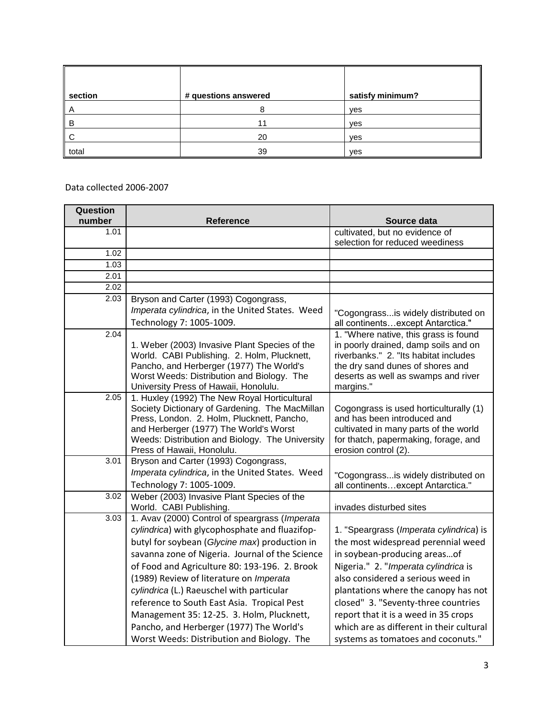| section | # questions answered | satisfy minimum? |
|---------|----------------------|------------------|
| A       | 8                    | yes              |
| B       | 11                   | ves              |
| C       | 20                   | ves              |
| total   | 39                   | yes              |

Data collected 2006-2007

| Question<br>number | Reference                                                                                                                                                                                                                                                                                                                                                                                                                                                                                                                           | Source data                                                                                                                                                                                                                                                                                                                                                                                         |
|--------------------|-------------------------------------------------------------------------------------------------------------------------------------------------------------------------------------------------------------------------------------------------------------------------------------------------------------------------------------------------------------------------------------------------------------------------------------------------------------------------------------------------------------------------------------|-----------------------------------------------------------------------------------------------------------------------------------------------------------------------------------------------------------------------------------------------------------------------------------------------------------------------------------------------------------------------------------------------------|
| 1.01               |                                                                                                                                                                                                                                                                                                                                                                                                                                                                                                                                     | cultivated, but no evidence of                                                                                                                                                                                                                                                                                                                                                                      |
|                    |                                                                                                                                                                                                                                                                                                                                                                                                                                                                                                                                     | selection for reduced weediness                                                                                                                                                                                                                                                                                                                                                                     |
| 1.02               |                                                                                                                                                                                                                                                                                                                                                                                                                                                                                                                                     |                                                                                                                                                                                                                                                                                                                                                                                                     |
| 1.03               |                                                                                                                                                                                                                                                                                                                                                                                                                                                                                                                                     |                                                                                                                                                                                                                                                                                                                                                                                                     |
| 2.01               |                                                                                                                                                                                                                                                                                                                                                                                                                                                                                                                                     |                                                                                                                                                                                                                                                                                                                                                                                                     |
| 2.02               |                                                                                                                                                                                                                                                                                                                                                                                                                                                                                                                                     |                                                                                                                                                                                                                                                                                                                                                                                                     |
| 2.03               | Bryson and Carter (1993) Cogongrass,                                                                                                                                                                                                                                                                                                                                                                                                                                                                                                |                                                                                                                                                                                                                                                                                                                                                                                                     |
|                    | Imperata cylindrica, in the United States. Weed                                                                                                                                                                                                                                                                                                                                                                                                                                                                                     | "Cogongrassis widely distributed on                                                                                                                                                                                                                                                                                                                                                                 |
|                    | Technology 7: 1005-1009.                                                                                                                                                                                                                                                                                                                                                                                                                                                                                                            | all continentsexcept Antarctica."                                                                                                                                                                                                                                                                                                                                                                   |
| 2.04               | 1. Weber (2003) Invasive Plant Species of the<br>World. CABI Publishing. 2. Holm, Plucknett,<br>Pancho, and Herberger (1977) The World's<br>Worst Weeds: Distribution and Biology. The<br>University Press of Hawaii, Honolulu.                                                                                                                                                                                                                                                                                                     | 1. "Where native, this grass is found<br>in poorly drained, damp soils and on<br>riverbanks." 2. "Its habitat includes<br>the dry sand dunes of shores and<br>deserts as well as swamps and river<br>margins."                                                                                                                                                                                      |
| 2.05               | 1. Huxley (1992) The New Royal Horticultural<br>Society Dictionary of Gardening. The MacMillan<br>Press, London. 2. Holm, Plucknett, Pancho,<br>and Herberger (1977) The World's Worst<br>Weeds: Distribution and Biology. The University<br>Press of Hawaii, Honolulu.                                                                                                                                                                                                                                                             | Cogongrass is used horticulturally (1)<br>and has been introduced and<br>cultivated in many parts of the world<br>for thatch, papermaking, forage, and<br>erosion control (2).                                                                                                                                                                                                                      |
| 3.01               | Bryson and Carter (1993) Cogongrass,<br>Imperata cylindrica, in the United States. Weed<br>Technology 7: 1005-1009.                                                                                                                                                                                                                                                                                                                                                                                                                 | "Cogongrassis widely distributed on<br>all continentsexcept Antarctica."                                                                                                                                                                                                                                                                                                                            |
| 3.02               | Weber (2003) Invasive Plant Species of the<br>World. CABI Publishing.                                                                                                                                                                                                                                                                                                                                                                                                                                                               | invades disturbed sites                                                                                                                                                                                                                                                                                                                                                                             |
| 3.03               | 1. Avav (2000) Control of speargrass (Imperata<br>cylindrica) with glycophosphate and fluazifop-<br>butyl for soybean (Glycine max) production in<br>savanna zone of Nigeria. Journal of the Science<br>of Food and Agriculture 80: 193-196. 2. Brook<br>(1989) Review of literature on Imperata<br>cylindrica (L.) Raeuschel with particular<br>reference to South East Asia. Tropical Pest<br>Management 35: 12-25. 3. Holm, Plucknett,<br>Pancho, and Herberger (1977) The World's<br>Worst Weeds: Distribution and Biology. The | 1. "Speargrass (Imperata cylindrica) is<br>the most widespread perennial weed<br>in soybean-producing areasof<br>Nigeria." 2. "Imperata cylindrica is<br>also considered a serious weed in<br>plantations where the canopy has not<br>closed" 3. "Seventy-three countries<br>report that it is a weed in 35 crops<br>which are as different in their cultural<br>systems as tomatoes and coconuts." |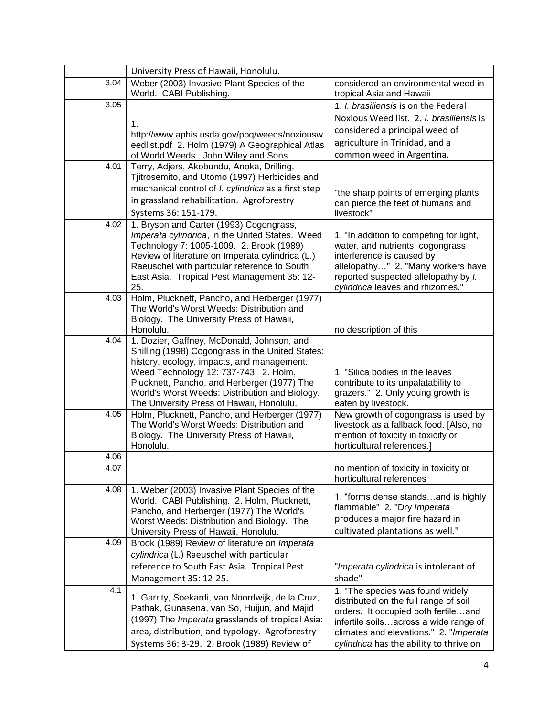|      | University Press of Hawaii, Honolulu.                                                           |                                                               |
|------|-------------------------------------------------------------------------------------------------|---------------------------------------------------------------|
| 3.04 | Weber (2003) Invasive Plant Species of the                                                      | considered an environmental weed in                           |
|      | World. CABI Publishing.                                                                         | tropical Asia and Hawaii                                      |
| 3.05 |                                                                                                 | 1. I. brasiliensis is on the Federal                          |
|      | 1.                                                                                              | Noxious Weed list. 2. I. brasiliensis is                      |
|      | http://www.aphis.usda.gov/ppq/weeds/noxiousw                                                    | considered a principal weed of                                |
|      | eedlist.pdf 2. Holm (1979) A Geographical Atlas                                                 | agriculture in Trinidad, and a                                |
|      | of World Weeds. John Wiley and Sons.                                                            | common weed in Argentina.                                     |
| 4.01 | Terry, Adjers, Akobundu, Anoka, Drilling,                                                       |                                                               |
|      | Tjitrosemito, and Utomo (1997) Herbicides and                                                   |                                                               |
|      | mechanical control of <i>I. cylindrica</i> as a first step                                      | "the sharp points of emerging plants                          |
|      | in grassland rehabilitation. Agroforestry                                                       | can pierce the feet of humans and                             |
|      | Systems 36: 151-179.                                                                            | livestock"                                                    |
| 4.02 | 1. Bryson and Carter (1993) Cogongrass,                                                         |                                                               |
|      | Imperata cylindrica, in the United States. Weed                                                 | 1. "In addition to competing for light,                       |
|      | Technology 7: 1005-1009. 2. Brook (1989)<br>Review of literature on Imperata cylindrica (L.)    | water, and nutrients, cogongrass<br>interference is caused by |
|      | Raeuschel with particular reference to South                                                    | allelopathy" 2. "Many workers have                            |
|      | East Asia. Tropical Pest Management 35: 12-                                                     | reported suspected allelopathy by I.                          |
|      | 25.                                                                                             | cylindrica leaves and rhizomes."                              |
| 4.03 | Holm, Plucknett, Pancho, and Herberger (1977)                                                   |                                                               |
|      | The World's Worst Weeds: Distribution and                                                       |                                                               |
|      | Biology. The University Press of Hawaii,<br>Honolulu.                                           | no description of this                                        |
| 4.04 | 1. Dozier, Gaffney, McDonald, Johnson, and                                                      |                                                               |
|      | Shilling (1998) Cogongrass in the United States:                                                |                                                               |
|      | history, ecology, impacts, and management.                                                      |                                                               |
|      | Weed Technology 12: 737-743. 2. Holm,                                                           | 1. "Silica bodies in the leaves                               |
|      | Plucknett, Pancho, and Herberger (1977) The                                                     | contribute to its unpalatability to                           |
|      | World's Worst Weeds: Distribution and Biology.                                                  | grazers." 2. Only young growth is                             |
| 4.05 | The University Press of Hawaii, Honolulu.<br>Holm, Plucknett, Pancho, and Herberger (1977)      | eaten by livestock.<br>New growth of cogongrass is used by    |
|      | The World's Worst Weeds: Distribution and                                                       | livestock as a fallback food. [Also, no                       |
|      | Biology. The University Press of Hawaii,                                                        | mention of toxicity in toxicity or                            |
|      | Honolulu.                                                                                       | horticultural references.]                                    |
| 4.06 |                                                                                                 |                                                               |
| 4.07 |                                                                                                 | no mention of toxicity in toxicity or                         |
|      |                                                                                                 | horticultural references                                      |
| 4.08 | 1. Weber (2003) Invasive Plant Species of the<br>World. CABI Publishing. 2. Holm, Plucknett,    | 1. "forms dense standsand is highly                           |
|      | Pancho, and Herberger (1977) The World's                                                        | flammable" 2. "Dry Imperata                                   |
|      | Worst Weeds: Distribution and Biology. The                                                      | produces a major fire hazard in                               |
|      | University Press of Hawaii, Honolulu.                                                           | cultivated plantations as well."                              |
| 4.09 | Brook (1989) Review of literature on Imperata                                                   |                                                               |
|      | cylindrica (L.) Raeuschel with particular                                                       |                                                               |
|      | reference to South East Asia. Tropical Pest                                                     | "Imperata cylindrica is intolerant of                         |
|      | Management 35: 12-25.                                                                           | shade"                                                        |
| 4.1  |                                                                                                 | 1. "The species was found widely                              |
|      | 1. Garrity, Soekardi, van Noordwijk, de la Cruz,                                                | distributed on the full range of soil                         |
|      | Pathak, Gunasena, van So, Huijun, and Majid<br>(1997) The Imperata grasslands of tropical Asia: | orders. It occupied both fertileand                           |
|      | area, distribution, and typology. Agroforestry                                                  | infertile soilsacross a wide range of                         |
|      |                                                                                                 | climates and elevations." 2. "Imperata                        |
|      | Systems 36: 3-29. 2. Brook (1989) Review of                                                     | cylindrica has the ability to thrive on                       |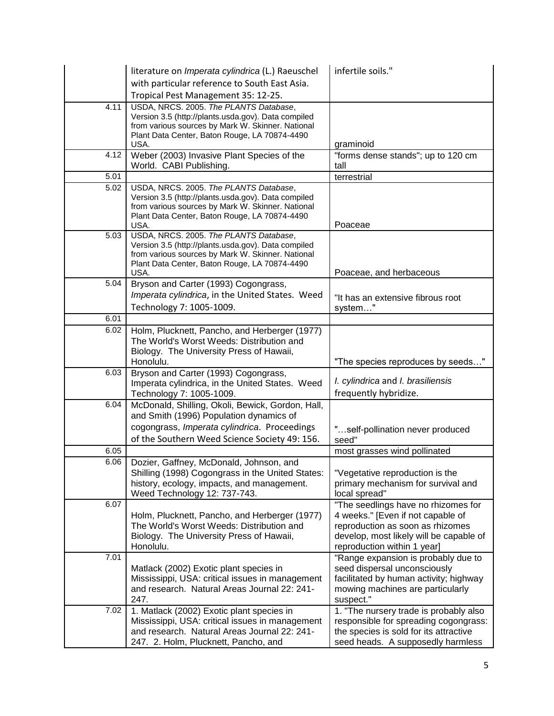|      | literature on Imperata cylindrica (L.) Raeuschel                                                         | infertile soils."                                                               |
|------|----------------------------------------------------------------------------------------------------------|---------------------------------------------------------------------------------|
|      | with particular reference to South East Asia.                                                            |                                                                                 |
|      | Tropical Pest Management 35: 12-25.                                                                      |                                                                                 |
| 4.11 | USDA, NRCS. 2005. The PLANTS Database,                                                                   |                                                                                 |
|      | Version 3.5 (http://plants.usda.gov). Data compiled<br>from various sources by Mark W. Skinner. National |                                                                                 |
|      | Plant Data Center, Baton Rouge, LA 70874-4490                                                            |                                                                                 |
|      | USA.                                                                                                     | graminoid                                                                       |
| 4.12 | Weber (2003) Invasive Plant Species of the                                                               | "forms dense stands"; up to 120 cm                                              |
| 5.01 | World. CABI Publishing.                                                                                  | tall<br>terrestrial                                                             |
| 5.02 | USDA, NRCS. 2005. The PLANTS Database,                                                                   |                                                                                 |
|      | Version 3.5 (http://plants.usda.gov). Data compiled                                                      |                                                                                 |
|      | from various sources by Mark W. Skinner. National                                                        |                                                                                 |
|      | Plant Data Center, Baton Rouge, LA 70874-4490<br>USA.                                                    | Poaceae                                                                         |
| 5.03 | USDA, NRCS. 2005. The PLANTS Database,                                                                   |                                                                                 |
|      | Version 3.5 (http://plants.usda.gov). Data compiled                                                      |                                                                                 |
|      | from various sources by Mark W. Skinner. National                                                        |                                                                                 |
|      | Plant Data Center, Baton Rouge, LA 70874-4490<br>USA.                                                    | Poaceae, and herbaceous                                                         |
| 5.04 | Bryson and Carter (1993) Cogongrass,                                                                     |                                                                                 |
|      | Imperata cylindrica, in the United States. Weed                                                          | "It has an extensive fibrous root                                               |
|      | Technology 7: 1005-1009.                                                                                 | system"                                                                         |
| 6.01 |                                                                                                          |                                                                                 |
| 6.02 | Holm, Plucknett, Pancho, and Herberger (1977)                                                            |                                                                                 |
|      | The World's Worst Weeds: Distribution and                                                                |                                                                                 |
|      | Biology. The University Press of Hawaii,                                                                 |                                                                                 |
| 6.03 | Honolulu.<br>Bryson and Carter (1993) Cogongrass,                                                        | "The species reproduces by seeds"                                               |
|      | Imperata cylindrica, in the United States. Weed                                                          | I. cylindrica and I. brasiliensis                                               |
|      | Technology 7: 1005-1009.                                                                                 | frequently hybridize.                                                           |
| 6.04 | McDonald, Shilling, Okoli, Bewick, Gordon, Hall,                                                         |                                                                                 |
|      | and Smith (1996) Population dynamics of                                                                  |                                                                                 |
|      | cogongrass, Imperata cylindrica. Proceedings                                                             | "self-pollination never produced                                                |
|      | of the Southern Weed Science Society 49: 156.                                                            | seed"                                                                           |
| 6.05 |                                                                                                          | most grasses wind pollinated                                                    |
| 6.06 | Dozier, Gaffney, McDonald, Johnson, and<br>Shilling (1998) Cogongrass in the United States:              | "Vegetative reproduction is the                                                 |
|      | history, ecology, impacts, and management.                                                               | primary mechanism for survival and                                              |
|      |                                                                                                          |                                                                                 |
| 6.07 | Weed Technology 12: 737-743.                                                                             |                                                                                 |
|      |                                                                                                          | local spread"<br>"The seedlings have no rhizomes for                            |
|      | Holm, Plucknett, Pancho, and Herberger (1977)                                                            | 4 weeks." [Even if not capable of                                               |
|      | The World's Worst Weeds: Distribution and                                                                | reproduction as soon as rhizomes                                                |
|      | Biology. The University Press of Hawaii,                                                                 | develop, most likely will be capable of                                         |
|      | Honolulu.                                                                                                | reproduction within 1 year]                                                     |
| 7.01 |                                                                                                          | "Range expansion is probably due to                                             |
|      | Matlack (2002) Exotic plant species in<br>Mississippi, USA: critical issues in management                | seed dispersal unconsciously<br>facilitated by human activity; highway          |
|      | and research. Natural Areas Journal 22: 241-                                                             | mowing machines are particularly                                                |
|      | 247.                                                                                                     | suspect."                                                                       |
| 7.02 | 1. Matlack (2002) Exotic plant species in                                                                | 1. "The nursery trade is probably also                                          |
|      | Mississippi, USA: critical issues in management<br>and research. Natural Areas Journal 22: 241-          | responsible for spreading cogongrass:<br>the species is sold for its attractive |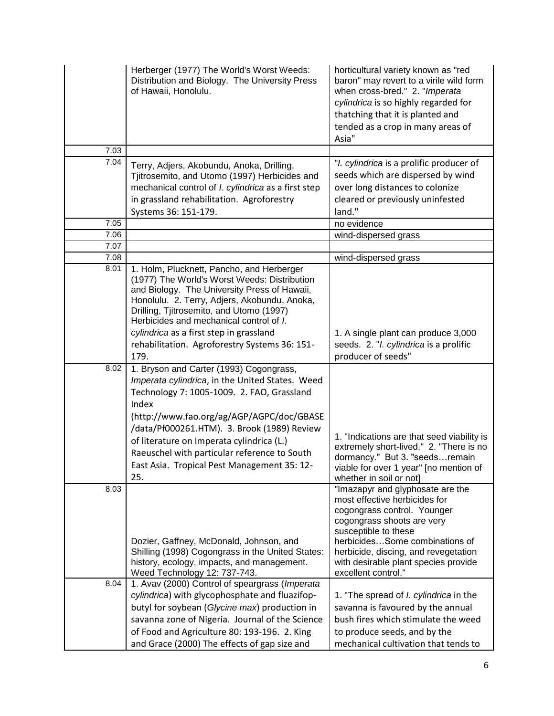|      | Herberger (1977) The World's Worst Weeds:<br>Distribution and Biology. The University Press<br>of Hawaii, Honolulu.                                                                                                                                                                                                         | horticultural variety known as "red<br>baron" may revert to a virile wild form<br>when cross-bred." 2. "Imperata<br>cylindrica is so highly regarded for<br>thatching that it is planted and<br>tended as a crop in many areas of<br>Asia"                               |
|------|-----------------------------------------------------------------------------------------------------------------------------------------------------------------------------------------------------------------------------------------------------------------------------------------------------------------------------|--------------------------------------------------------------------------------------------------------------------------------------------------------------------------------------------------------------------------------------------------------------------------|
| 7.03 |                                                                                                                                                                                                                                                                                                                             |                                                                                                                                                                                                                                                                          |
| 7.04 | Terry, Adjers, Akobundu, Anoka, Drilling,<br>Tjitrosemito, and Utomo (1997) Herbicides and<br>mechanical control of <i>I. cylindrica</i> as a first step<br>in grassland rehabilitation. Agroforestry<br>Systems 36: 151-179.                                                                                               | "I. cylindrica is a prolific producer of<br>seeds which are dispersed by wind<br>over long distances to colonize<br>cleared or previously uninfested<br>land."                                                                                                           |
| 7.05 |                                                                                                                                                                                                                                                                                                                             | no evidence                                                                                                                                                                                                                                                              |
| 7.06 |                                                                                                                                                                                                                                                                                                                             | wind-dispersed grass                                                                                                                                                                                                                                                     |
| 7.07 |                                                                                                                                                                                                                                                                                                                             |                                                                                                                                                                                                                                                                          |
| 7.08 |                                                                                                                                                                                                                                                                                                                             | wind-dispersed grass                                                                                                                                                                                                                                                     |
| 8.01 | 1. Holm, Plucknett, Pancho, and Herberger<br>(1977) The World's Worst Weeds: Distribution<br>and Biology. The University Press of Hawaii,<br>Honolulu. 2. Terry, Adjers, Akobundu, Anoka,<br>Drilling, Tjitrosemito, and Utomo (1997)<br>Herbicides and mechanical control of I.<br>cylindrica as a first step in grassland | 1. A single plant can produce 3,000                                                                                                                                                                                                                                      |
|      | rehabilitation. Agroforestry Systems 36: 151-                                                                                                                                                                                                                                                                               | seeds. 2. "I. cylindrica is a prolific                                                                                                                                                                                                                                   |
|      | 179.                                                                                                                                                                                                                                                                                                                        | producer of seeds"                                                                                                                                                                                                                                                       |
| 8.02 | 1. Bryson and Carter (1993) Cogongrass,<br>Imperata cylindrica, in the United States. Weed<br>Technology 7: 1005-1009. 2. FAO, Grassland<br>Index<br>(http://www.fao.org/ag/AGP/AGPC/doc/GBASE                                                                                                                              |                                                                                                                                                                                                                                                                          |
|      | /data/Pf000261.HTM). 3. Brook (1989) Review<br>of literature on Imperata cylindrica (L.)<br>Raeuschel with particular reference to South<br>East Asia. Tropical Pest Management 35: 12-<br>25.                                                                                                                              | 1. "Indications are that seed viability is<br>extremely short-lived." 2. "There is no<br>dormancy." But 3. "seedsremain<br>viable for over 1 year" [no mention of<br>whether in soil or not]                                                                             |
| 8.03 | Dozier, Gaffney, McDonald, Johnson, and<br>Shilling (1998) Cogongrass in the United States:<br>history, ecology, impacts, and management.                                                                                                                                                                                   | "Imazapyr and glyphosate are the<br>most effective herbicides for<br>cogongrass control. Younger<br>cogongrass shoots are very<br>susceptible to these<br>herbicidesSome combinations of<br>herbicide, discing, and revegetation<br>with desirable plant species provide |
|      | Weed Technology 12: 737-743.                                                                                                                                                                                                                                                                                                | excellent control."                                                                                                                                                                                                                                                      |
| 8.04 | 1. Avav (2000) Control of speargrass (Imperata                                                                                                                                                                                                                                                                              |                                                                                                                                                                                                                                                                          |
|      | cylindrica) with glycophosphate and fluazifop-                                                                                                                                                                                                                                                                              | 1. "The spread of I. cylindrica in the                                                                                                                                                                                                                                   |
|      | butyl for soybean (Glycine max) production in                                                                                                                                                                                                                                                                               | savanna is favoured by the annual                                                                                                                                                                                                                                        |
|      | savanna zone of Nigeria. Journal of the Science                                                                                                                                                                                                                                                                             | bush fires which stimulate the weed                                                                                                                                                                                                                                      |
|      | of Food and Agriculture 80: 193-196. 2. King                                                                                                                                                                                                                                                                                | to produce seeds, and by the                                                                                                                                                                                                                                             |
|      | and Grace (2000) The effects of gap size and                                                                                                                                                                                                                                                                                | mechanical cultivation that tends to                                                                                                                                                                                                                                     |